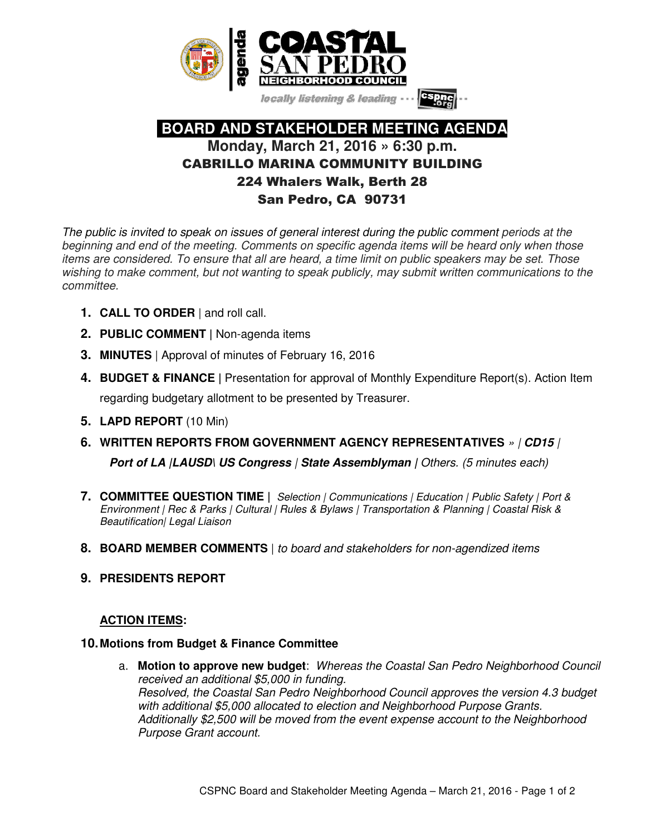

locally listening & leading

# **BOARD AND STAKEHOLDER MEETING AGENDA Monday, March 21, 2016 » 6:30 p.m.**  CABRILLO MARINA COMMUNITY BUILDING 224 Whalers Walk, Berth 28 San Pedro, CA 90731

The public is invited to speak on issues of general interest during the public comment periods at the beginning and end of the meeting. Comments on specific agenda items will be heard only when those items are considered. To ensure that all are heard, a time limit on public speakers may be set. Those wishing to make comment, but not wanting to speak publicly, may submit written communications to the committee.

- **1. CALL TO ORDER** | and roll call.
- **2. PUBLIC COMMENT |** Non-agenda items
- **3. MINUTES** | Approval of minutes of February 16, 2016
- **4. BUDGET & FINANCE |** Presentation for approval of Monthly Expenditure Report(s). Action Item regarding budgetary allotment to be presented by Treasurer.
- **5. LAPD REPORT** (10 Min)
- **6. WRITTEN REPORTS FROM GOVERNMENT AGENCY REPRESENTATIVES** » | **CD15** | **Port of LA (LAUSD\ US Congress | State Assemblyman | Others. (5 minutes each)**
- **7. COMMITTEE QUESTION TIME |** Selection | Communications | Education | Public Safety | Port & Environment | Rec & Parks | Cultural | Rules & Bylaws | Transportation & Planning | Coastal Risk & Beautification| Legal Liaison
- **8. BOARD MEMBER COMMENTS** | to board and stakeholders for non-agendized items
- **9. PRESIDENTS REPORT**

# **ACTION ITEMS:**

## **10. Motions from Budget & Finance Committee**

a. **Motion to approve new budget**: Whereas the Coastal San Pedro Neighborhood Council received an additional \$5,000 in funding. Resolved, the Coastal San Pedro Neighborhood Council approves the version 4.3 budget with additional \$5,000 allocated to election and Neighborhood Purpose Grants. Additionally \$2,500 will be moved from the event expense account to the Neighborhood Purpose Grant account.